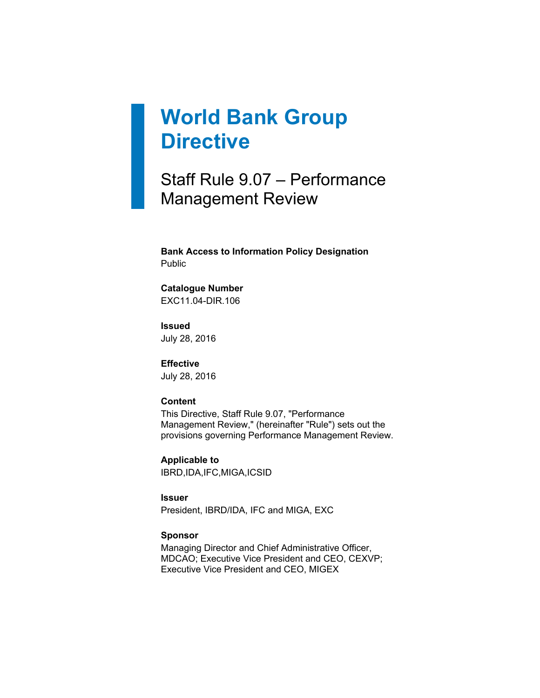# **World Bank Group Directive**

Staff Rule 9.07 – Performance Management Review

**Bank Access to Information Policy Designation** Public

# **Catalogue Number**

EXC11.04-DIR.106

**Issued** July 28, 2016

**Effective** July 28, 2016

#### **Content**

This Directive, Staff Rule 9.07, "Performance Management Review," (hereinafter "Rule") sets out the provisions governing Performance Management Review.

**Applicable to** IBRD,IDA,IFC,MIGA,ICSID

#### **Issuer**

President, IBRD/IDA, IFC and MIGA, EXC

#### **Sponsor**

Managing Director and Chief Administrative Officer, MDCAO; Executive Vice President and CEO, CEXVP; Executive Vice President and CEO, MIGEX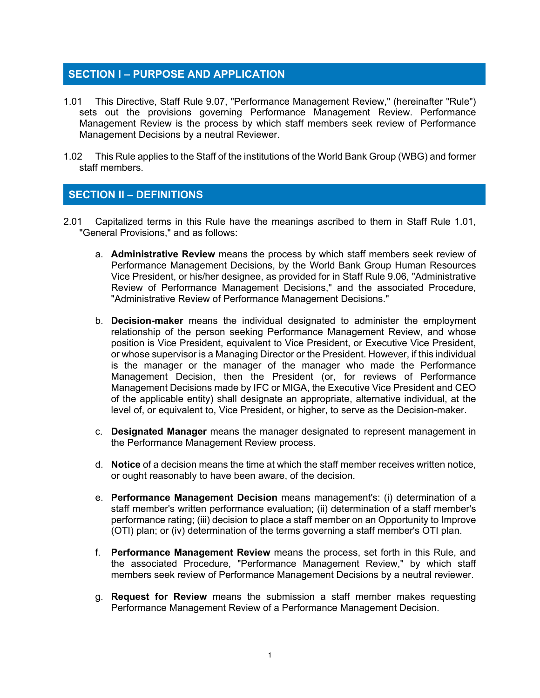# **SECTION I – PURPOSE AND APPLICATION**

- 1.01 This Directive, Staff Rule 9.07, "Performance Management Review," (hereinafter "Rule") sets out the provisions governing Performance Management Review. Performance Management Review is the process by which staff members seek review of Performance Management Decisions by a neutral Reviewer.
- 1.02 This Rule applies to the Staff of the institutions of the World Bank Group (WBG) and former staff members.

# **SECTION II – DEFINITIONS**

- 2.01 Capitalized terms in this Rule have the meanings ascribed to them in Staff Rule 1.01, "General Provisions," and as follows:
	- a. **Administrative Review** means the process by which staff members seek review of Performance Management Decisions, by the World Bank Group Human Resources Vice President, or his/her designee, as provided for in Staff Rule 9.06, "Administrative Review of Performance Management Decisions," and the associated Procedure, "Administrative Review of Performance Management Decisions."
	- b. **Decision-maker** means the individual designated to administer the employment relationship of the person seeking Performance Management Review, and whose position is Vice President, equivalent to Vice President, or Executive Vice President, or whose supervisor is a Managing Director or the President. However, if this individual is the manager or the manager of the manager who made the Performance Management Decision, then the President (or, for reviews of Performance Management Decisions made by IFC or MIGA, the Executive Vice President and CEO of the applicable entity) shall designate an appropriate, alternative individual, at the level of, or equivalent to, Vice President, or higher, to serve as the Decision-maker.
	- c. **Designated Manager** means the manager designated to represent management in the Performance Management Review process.
	- d. **Notice** of a decision means the time at which the staff member receives written notice, or ought reasonably to have been aware, of the decision.
	- e. **Performance Management Decision** means management's: (i) determination of a staff member's written performance evaluation; (ii) determination of a staff member's performance rating; (iii) decision to place a staff member on an Opportunity to Improve (OTI) plan; or (iv) determination of the terms governing a staff member's OTI plan.
	- f. **Performance Management Review** means the process, set forth in this Rule, and the associated Procedure, "Performance Management Review," by which staff members seek review of Performance Management Decisions by a neutral reviewer.
	- g. **Request for Review** means the submission a staff member makes requesting Performance Management Review of a Performance Management Decision.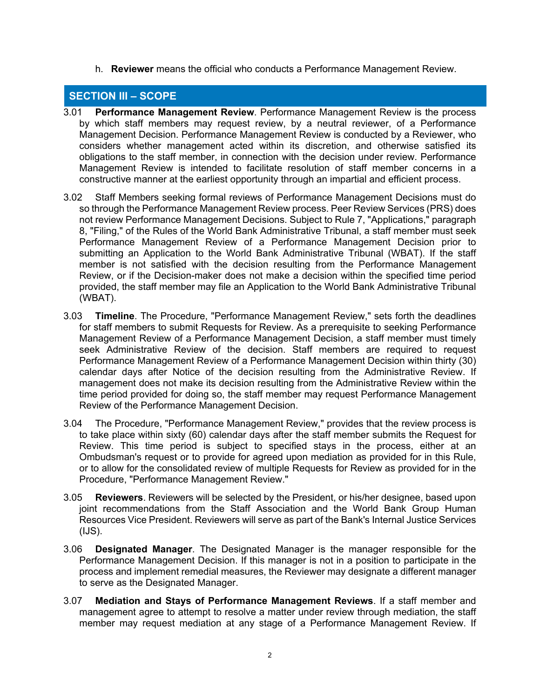h. **Reviewer** means the official who conducts a Performance Management Review.

# **SECTION III – SCOPE**

- 3.01 **Performance Management Review**. Performance Management Review is the process by which staff members may request review, by a neutral reviewer, of a Performance Management Decision. Performance Management Review is conducted by a Reviewer, who considers whether management acted within its discretion, and otherwise satisfied its obligations to the staff member, in connection with the decision under review. Performance Management Review is intended to facilitate resolution of staff member concerns in a constructive manner at the earliest opportunity through an impartial and efficient process.
- 3.02 Staff Members seeking formal reviews of Performance Management Decisions must do so through the Performance Management Review process. Peer Review Services (PRS) does not review Performance Management Decisions. Subject to Rule 7, "Applications," paragraph 8, "Filing," of the Rules of the World Bank Administrative Tribunal, a staff member must seek Performance Management Review of a Performance Management Decision prior to submitting an Application to the World Bank Administrative Tribunal (WBAT). If the staff member is not satisfied with the decision resulting from the Performance Management Review, or if the Decision-maker does not make a decision within the specified time period provided, the staff member may file an Application to the World Bank Administrative Tribunal (WBAT).
- 3.03 **Timeline**. The Procedure, "Performance Management Review," sets forth the deadlines for staff members to submit Requests for Review. As a prerequisite to seeking Performance Management Review of a Performance Management Decision, a staff member must timely seek Administrative Review of the decision. Staff members are required to request Performance Management Review of a Performance Management Decision within thirty (30) calendar days after Notice of the decision resulting from the Administrative Review. If management does not make its decision resulting from the Administrative Review within the time period provided for doing so, the staff member may request Performance Management Review of the Performance Management Decision.
- 3.04 The Procedure, "Performance Management Review," provides that the review process is to take place within sixty (60) calendar days after the staff member submits the Request for Review. This time period is subject to specified stays in the process, either at an Ombudsman's request or to provide for agreed upon mediation as provided for in this Rule, or to allow for the consolidated review of multiple Requests for Review as provided for in the Procedure, "Performance Management Review."
- 3.05 **Reviewers**. Reviewers will be selected by the President, or his/her designee, based upon joint recommendations from the Staff Association and the World Bank Group Human Resources Vice President. Reviewers will serve as part of the Bank's Internal Justice Services (IJS).
- 3.06 **Designated Manager**. The Designated Manager is the manager responsible for the Performance Management Decision. If this manager is not in a position to participate in the process and implement remedial measures, the Reviewer may designate a different manager to serve as the Designated Manager.
- 3.07 **Mediation and Stays of Performance Management Reviews**. If a staff member and management agree to attempt to resolve a matter under review through mediation, the staff member may request mediation at any stage of a Performance Management Review. If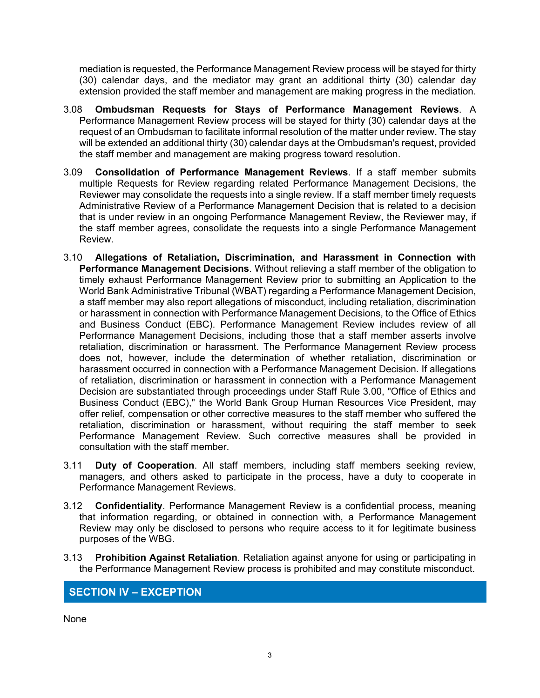mediation is requested, the Performance Management Review process will be stayed for thirty (30) calendar days, and the mediator may grant an additional thirty (30) calendar day extension provided the staff member and management are making progress in the mediation.

- 3.08 **Ombudsman Requests for Stays of Performance Management Reviews**. A Performance Management Review process will be stayed for thirty (30) calendar days at the request of an Ombudsman to facilitate informal resolution of the matter under review. The stay will be extended an additional thirty (30) calendar days at the Ombudsman's request, provided the staff member and management are making progress toward resolution.
- 3.09 **Consolidation of Performance Management Reviews**. If a staff member submits multiple Requests for Review regarding related Performance Management Decisions, the Reviewer may consolidate the requests into a single review. If a staff member timely requests Administrative Review of a Performance Management Decision that is related to a decision that is under review in an ongoing Performance Management Review, the Reviewer may, if the staff member agrees, consolidate the requests into a single Performance Management Review.
- 3.10 **Allegations of Retaliation, Discrimination, and Harassment in Connection with Performance Management Decisions**. Without relieving a staff member of the obligation to timely exhaust Performance Management Review prior to submitting an Application to the World Bank Administrative Tribunal (WBAT) regarding a Performance Management Decision, a staff member may also report allegations of misconduct, including retaliation, discrimination or harassment in connection with Performance Management Decisions, to the Office of Ethics and Business Conduct (EBC). Performance Management Review includes review of all Performance Management Decisions, including those that a staff member asserts involve retaliation, discrimination or harassment. The Performance Management Review process does not, however, include the determination of whether retaliation, discrimination or harassment occurred in connection with a Performance Management Decision. If allegations of retaliation, discrimination or harassment in connection with a Performance Management Decision are substantiated through proceedings under Staff Rule 3.00, "Office of Ethics and Business Conduct (EBC)," the World Bank Group Human Resources Vice President, may offer relief, compensation or other corrective measures to the staff member who suffered the retaliation, discrimination or harassment, without requiring the staff member to seek Performance Management Review. Such corrective measures shall be provided in consultation with the staff member.
- 3.11 **Duty of Cooperation**. All staff members, including staff members seeking review, managers, and others asked to participate in the process, have a duty to cooperate in Performance Management Reviews.
- 3.12 **Confidentiality**. Performance Management Review is a confidential process, meaning that information regarding, or obtained in connection with, a Performance Management Review may only be disclosed to persons who require access to it for legitimate business purposes of the WBG.
- 3.13 **Prohibition Against Retaliation**. Retaliation against anyone for using or participating in the Performance Management Review process is prohibited and may constitute misconduct.

# **SECTION IV – EXCEPTION**

None